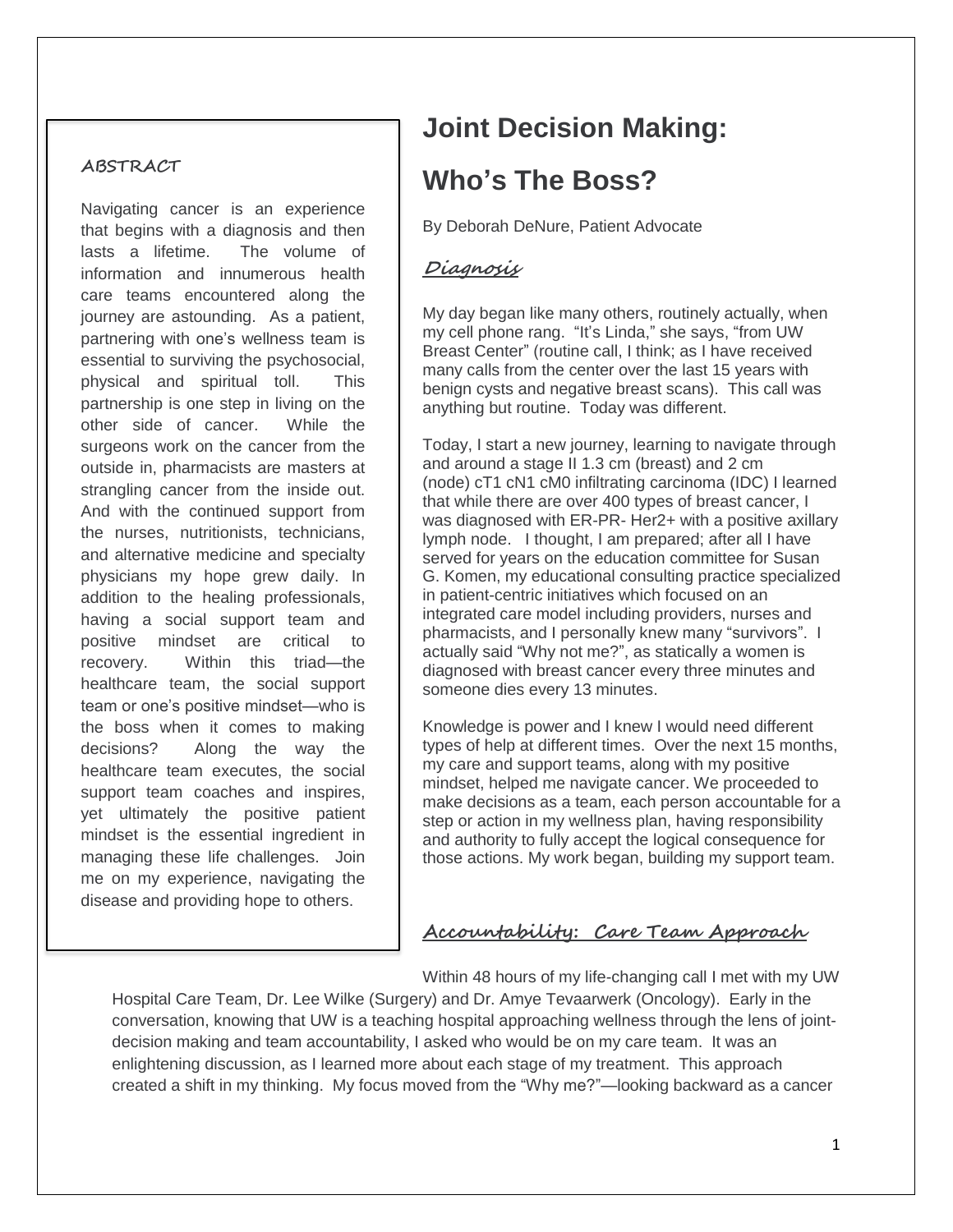### **ABSTRACT**

Navigating cancer is an experience that begins with a diagnosis and then lasts a lifetime. The volume of information and innumerous health care teams encountered along the journey are astounding. As a patient, partnering with one's wellness team is essential to surviving the psychosocial, physical and spiritual toll. This partnership is one step in living on the other side of cancer. While the surgeons work on the cancer from the outside in, pharmacists are masters at strangling cancer from the inside out. And with the continued support from the nurses, nutritionists, technicians, and alternative medicine and specialty physicians my hope grew daily. In addition to the healing professionals, having a social support team and positive mindset are critical to recovery. Within this triad—the healthcare team, the social support team or one's positive mindset—who is the boss when it comes to making decisions? Along the way the healthcare team executes, the social support team coaches and inspires, yet ultimately the positive patient mindset is the essential ingredient in managing these life challenges. Join me on my experience, navigating the disease and providing hope to others.

# **Joint Decision Making: Who's The Boss?**

By Deborah DeNure, Patient Advocate

## **Diagnosis**

My day began like many others, routinely actually, when my cell phone rang. "It's Linda," she says, "from UW Breast Center" (routine call, I think; as I have received many calls from the center over the last 15 years with benign cysts and negative breast scans). This call was anything but routine. Today was different.

Today, I start a new journey, learning to navigate through and around a stage II 1.3 cm (breast) and 2 cm (node) cT1 cN1 cM0 infiltrating carcinoma (IDC) I learned that while there are over 400 types of breast cancer, I was diagnosed with ER-PR- Her2+ with a positive axillary lymph node. I thought, I am prepared; after all I have served for years on the education committee for Susan G. Komen, my educational consulting practice specialized in patient-centric initiatives which focused on an integrated care model including providers, nurses and pharmacists, and I personally knew many "survivors". I actually said "Why not me?", as statically a women is diagnosed with breast cancer every three minutes and someone dies every 13 minutes.

Knowledge is power and I knew I would need different types of help at different times. Over the next 15 months, my care and support teams, along with my positive mindset, helped me navigate cancer. We proceeded to make decisions as a team, each person accountable for a step or action in my wellness plan, having responsibility and authority to fully accept the logical consequence for those actions. My work began, building my support team.

## **Accountability: Care Team Approach**

Within 48 hours of my life-changing call I met with my UW

Hospital Care Team, Dr. Lee Wilke (Surgery) and Dr. Amye Tevaarwerk (Oncology). Early in the conversation, knowing that UW is a teaching hospital approaching wellness through the lens of jointdecision making and team accountability, I asked who would be on my care team. It was an enlightening discussion, as I learned more about each stage of my treatment. This approach created a shift in my thinking. My focus moved from the "Why me?"—looking backward as a cancer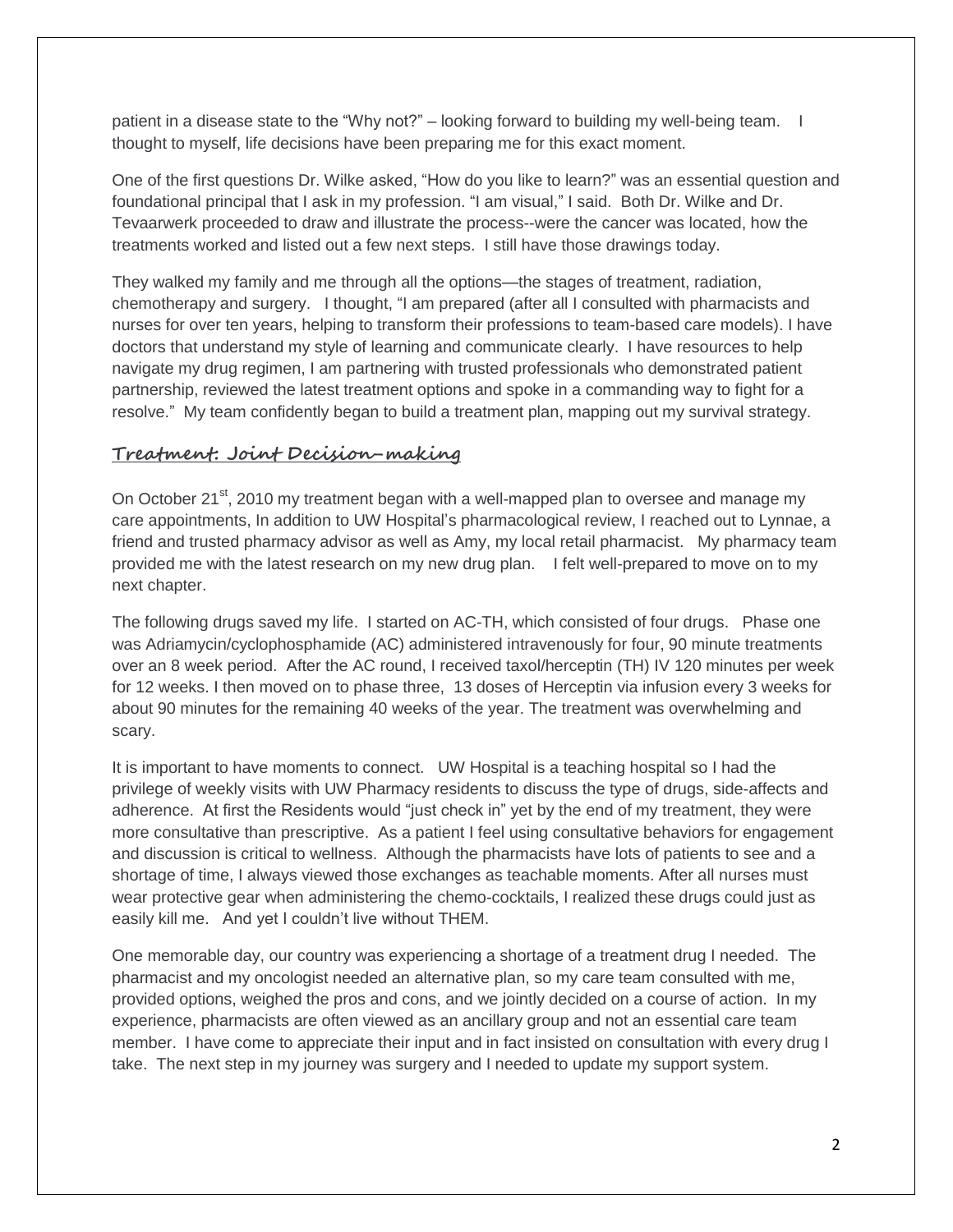patient in a disease state to the "Why not?" – looking forward to building my well-being team. I thought to myself, life decisions have been preparing me for this exact moment.

One of the first questions Dr. Wilke asked, "How do you like to learn?" was an essential question and foundational principal that I ask in my profession. "I am visual," I said. Both Dr. Wilke and Dr. Tevaarwerk proceeded to draw and illustrate the process--were the cancer was located, how the treatments worked and listed out a few next steps. I still have those drawings today.

They walked my family and me through all the options—the stages of treatment, radiation, chemotherapy and surgery. I thought, "I am prepared (after all I consulted with pharmacists and nurses for over ten years, helping to transform their professions to team-based care models). I have doctors that understand my style of learning and communicate clearly. I have resources to help navigate my drug regimen, I am partnering with trusted professionals who demonstrated patient partnership, reviewed the latest treatment options and spoke in a commanding way to fight for a resolve." My team confidently began to build a treatment plan, mapping out my survival strategy.

### **Treatment: Joint Decision-making**

On October  $21^{st}$ , 2010 my treatment began with a well-mapped plan to oversee and manage my care appointments, In addition to UW Hospital's pharmacological review, I reached out to Lynnae, a friend and trusted pharmacy advisor as well as Amy, my local retail pharmacist. My pharmacy team provided me with the latest research on my new drug plan. I felt well-prepared to move on to my next chapter.

The following drugs saved my life. I started on AC-TH, which consisted of four drugs. Phase one was Adriamycin/cyclophosphamide (AC) administered intravenously for four, 90 minute treatments over an 8 week period. After the AC round, I received taxol/herceptin (TH) IV 120 minutes per week for 12 weeks. I then moved on to phase three, 13 doses of Herceptin via infusion every 3 weeks for about 90 minutes for the remaining 40 weeks of the year. The treatment was overwhelming and scary.

It is important to have moments to connect. UW Hospital is a teaching hospital so I had the privilege of weekly visits with UW Pharmacy residents to discuss the type of drugs, side-affects and adherence. At first the Residents would "just check in" yet by the end of my treatment, they were more consultative than prescriptive. As a patient I feel using consultative behaviors for engagement and discussion is critical to wellness. Although the pharmacists have lots of patients to see and a shortage of time, I always viewed those exchanges as teachable moments. After all nurses must wear protective gear when administering the chemo-cocktails, I realized these drugs could just as easily kill me. And yet I couldn't live without THEM.

One memorable day, our country was experiencing a shortage of a treatment drug I needed. The pharmacist and my oncologist needed an alternative plan, so my care team consulted with me, provided options, weighed the pros and cons, and we jointly decided on a course of action. In my experience, pharmacists are often viewed as an ancillary group and not an essential care team member. I have come to appreciate their input and in fact insisted on consultation with every drug I take. The next step in my journey was surgery and I needed to update my support system.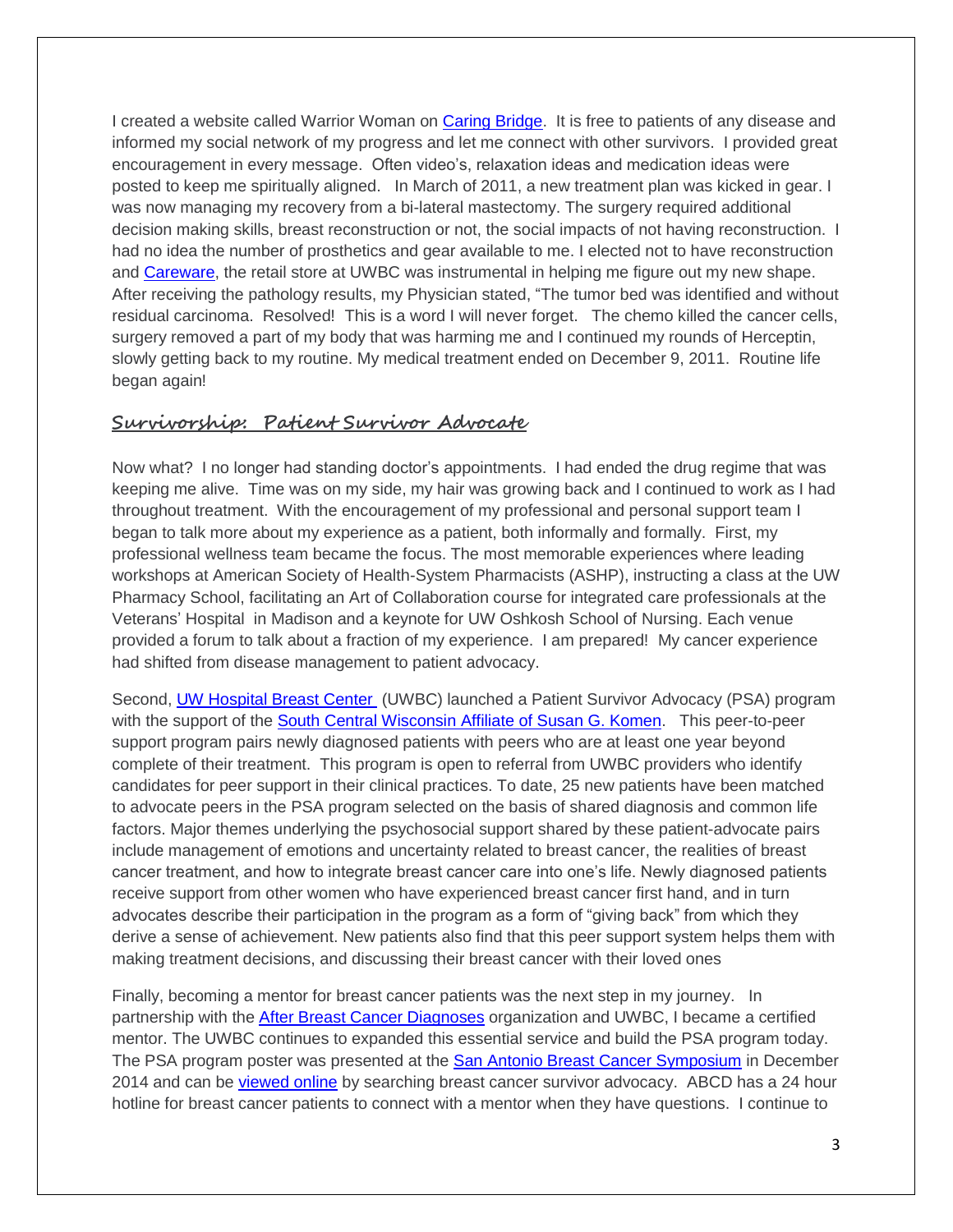I created a website called Warrior Woman on [Caring Bridge.](http://www.caringbridge.org/) It is free to patients of any disease and informed my social network of my progress and let me connect with other survivors. I provided great encouragement in every message. Often video's, relaxation ideas and medication ideas were posted to keep me spiritually aligned. In March of 2011, a new treatment plan was kicked in gear. I was now managing my recovery from a bi-lateral mastectomy. The surgery required additional decision making skills, breast reconstruction or not, the social impacts of not having reconstruction. I had no idea the number of prosthetics and gear available to me. I elected not to have reconstruction and [Careware,](http://www.uwhealth.org/uw-carbone-cancer-center/carewear-and-wigs/10311) the retail store at UWBC was instrumental in helping me figure out my new shape. After receiving the pathology results, my Physician stated, "The tumor bed was identified and without residual carcinoma. Resolved! This is a word I will never forget. The chemo killed the cancer cells, surgery removed a part of my body that was harming me and I continued my rounds of Herceptin, slowly getting back to my routine. My medical treatment ended on December 9, 2011. Routine life began again!

## **Survivorship: Patient Survivor Advocate**

Now what? I no longer had standing doctor's appointments. I had ended the drug regime that was keeping me alive. Time was on my side, my hair was growing back and I continued to work as I had throughout treatment. With the encouragement of my professional and personal support team I began to talk more about my experience as a patient, both informally and formally. First, my professional wellness team became the focus. The most memorable experiences where leading workshops at American Society of Health-System Pharmacists (ASHP), instructing a class at the UW Pharmacy School, facilitating an Art of Collaboration course for integrated care professionals at the Veterans' Hospital in Madison and a keynote for UW Oshkosh School of Nursing. Each venue provided a forum to talk about a fraction of my experience. I am prepared! My cancer experience had shifted from disease management to patient advocacy.

Second, [UW Hospital Breast Center](http://www.uwhealth.org/breast-care/breast-care-services/26338) (UWBC) launched a Patient Survivor Advocacy (PSA) program with the support of the [South Central Wisconsin Affiliate of Susan G. Komen.](http://komensouthcentralwi.org/) This peer-to-peer support program pairs newly diagnosed patients with peers who are at least one year beyond complete of their treatment. This program is open to referral from UWBC providers who identify candidates for peer support in their clinical practices. To date, 25 new patients have been matched to advocate peers in the PSA program selected on the basis of shared diagnosis and common life factors. Major themes underlying the psychosocial support shared by these patient-advocate pairs include management of emotions and uncertainty related to breast cancer, the realities of breast cancer treatment, and how to integrate breast cancer care into one's life. Newly diagnosed patients receive support from other women who have experienced breast cancer first hand, and in turn advocates describe their participation in the program as a form of "giving back" from which they derive a sense of achievement. New patients also find that this peer support system helps them with making treatment decisions, and discussing their breast cancer with their loved ones

Finally, becoming a mentor for breast cancer patients was the next step in my journey. In partnership with the [After Breast Cancer Diagnoses](http://www.abcdbreastcancersupport.org/) organization and UWBC, I became a certified mentor. The UWBC continues to expanded this essential service and build the PSA program today. The PSA program poster was presented at the [San Antonio Breast Cancer Symposium](http://www.sabcs.org/programschedule/PosterSessions.asp?SessionGroupID=156) in December 2014 and can be [viewed online](http://eposter.abstractsonline.com/sabcs/viewer/) by searching breast cancer survivor advocacy. ABCD has a 24 hour hotline for breast cancer patients to connect with a mentor when they have questions. I continue to